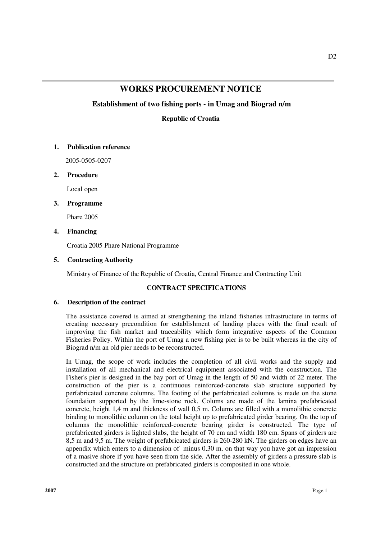# **WORKS PROCUREMENT NOTICE**

## **Establishment of two fishing ports - in Umag and Biograd n/m**

**Republic of Croatia** 

## **1. Publication reference**

2005-0505-0207

## **2. Procedure**

Local open

## **3. Programme**

Phare 2005

## **4. Financing**

Croatia 2005 Phare National Programme

## **5. Contracting Authority**

Ministry of Finance of the Republic of Croatia, Central Finance and Contracting Unit

## **CONTRACT SPECIFICATIONS**

#### **6. Description of the contract**

The assistance covered is aimed at strengthening the inland fisheries infrastructure in terms of creating necessary precondition for establishment of landing places with the final result of improving the fish market and traceability which form integrative aspects of the Common Fisheries Policy. Within the port of Umag a new fishing pier is to be built whereas in the city of Biograd n/m an old pier needs to be reconstructed.

In Umag, the scope of work includes the completion of all civil works and the supply and installation of all mechanical and electrical equipment associated with the construction. The Fisher's pier is designed in the bay port of Umag in the length of 50 and width of 22 meter. The construction of the pier is a continuous reinforced-concrete slab structure supported by perfabricated concrete columns. The footing of the perfabricated columns is made on the stone foundation supported by the lime-stone rock. Colums are made of the lamina prefabricated concrete, height 1,4 m and thickness of wall 0,5 m. Colums are filled with a monolithic concrete binding to monolithic column on the total height up to prefabricated girder bearing. On the top of columns the monolithic reinforced-concrete bearing girder is constructed. The type of prefabricated girders is lighted slabs, the height of 70 cm and width 180 cm. Spans of girders are 8,5 m and 9,5 m. The weight of prefabricated girders is 260-280 kN. The girders on edges have an appendix which enters to a dimension of minus 0,30 m, on that way you have got an impression of a masive shore if you have seen from the side. After the assembly of girders a pressure slab is constructed and the structure on prefabricated girders is composited in one whole.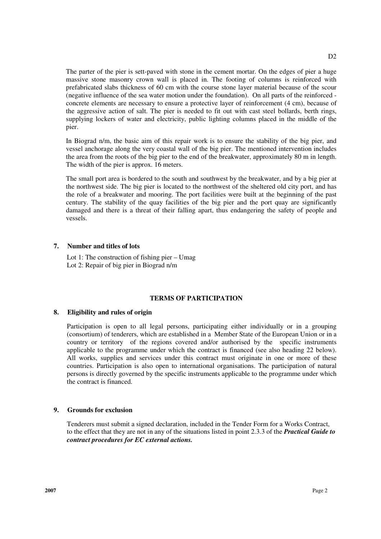The parter of the pier is sett-paved with stone in the cement mortar. On the edges of pier a huge massive stone masonry crown wall is placed in. The footing of columns is reinforced with prefabricated slabs thickness of 60 cm with the course stone layer material because of the scour (negative influence of the sea water motion under the foundation). On all parts of the reinforced concrete elements are necessary to ensure a protective layer of reinforcement (4 cm), because of the aggressive action of salt. The pier is needed to fit out with cast steel bollards, berth rings, supplying lockers of water and electricity, public lighting columns placed in the middle of the pier.

In Biograd n/m, the basic aim of this repair work is to ensure the stability of the big pier, and vessel anchorage along the very coastal wall of the big pier. The mentioned intervention includes the area from the roots of the big pier to the end of the breakwater, approximately 80 m in length. The width of the pier is approx. 16 meters.

The small port area is bordered to the south and southwest by the breakwater, and by a big pier at the northwest side. The big pier is located to the northwest of the sheltered old city port, and has the role of a breakwater and mooring. The port facilities were built at the beginning of the past century. The stability of the quay facilities of the big pier and the port quay are significantly damaged and there is a threat of their falling apart, thus endangering the safety of people and vessels.

#### **7. Number and titles of lots**

Lot 1: The construction of fishing pier – Umag Lot 2: Repair of big pier in Biograd n/m

#### **TERMS OF PARTICIPATION**

#### **8. Eligibility and rules of origin**

Participation is open to all legal persons, participating either individually or in a grouping (consortium) of tenderers, which are established in a Member State of the European Union or in a country or territory of the regions covered and/or authorised by the specific instruments applicable to the programme under which the contract is financed (see also heading 22 below). All works, supplies and services under this contract must originate in one or more of these countries. Participation is also open to international organisations. The participation of natural persons is directly governed by the specific instruments applicable to the programme under which the contract is financed.

## **9. Grounds for exclusion**

Tenderers must submit a signed declaration, included in the Tender Form for a Works Contract, to the effect that they are not in any of the situations listed in point 2.3.3 of the *Practical Guide to contract procedures for EC external actions.*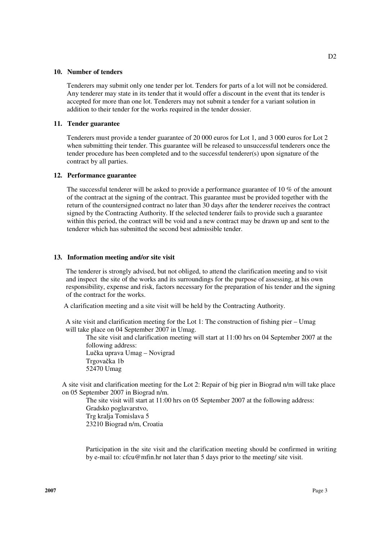#### **10. Number of tenders**

Tenderers may submit only one tender per lot. Tenders for parts of a lot will not be considered. Any tenderer may state in its tender that it would offer a discount in the event that its tender is accepted for more than one lot. Tenderers may not submit a tender for a variant solution in addition to their tender for the works required in the tender dossier.

#### **11. Tender guarantee**

Tenderers must provide a tender guarantee of 20 000 euros for Lot 1, and 3 000 euros for Lot 2 when submitting their tender. This guarantee will be released to unsuccessful tenderers once the tender procedure has been completed and to the successful tenderer(s) upon signature of the contract by all parties.

#### **12. Performance guarantee**

The successful tenderer will be asked to provide a performance guarantee of 10 % of the amount of the contract at the signing of the contract. This guarantee must be provided together with the return of the countersigned contract no later than 30 days after the tenderer receives the contract signed by the Contracting Authority. If the selected tenderer fails to provide such a guarantee within this period, the contract will be void and a new contract may be drawn up and sent to the tenderer which has submitted the second best admissible tender.

#### **13. Information meeting and/or site visit**

The tenderer is strongly advised, but not obliged, to attend the clarification meeting and to visit and inspect the site of the works and its surroundings for the purpose of assessing, at his own responsibility, expense and risk, factors necessary for the preparation of his tender and the signing of the contract for the works.

A clarification meeting and a site visit will be held by the Contracting Authority.

 A site visit and clarification meeting for the Lot 1: The construction of fishing pier – Umag will take place on 04 September 2007 in Umag.

 The site visit and clarification meeting will start at 11:00 hrs on 04 September 2007 at the following address: Lučka uprava Umag – Novigrad

 Trgovačka 1b 52470 Umag

 A site visit and clarification meeting for the Lot 2: Repair of big pier in Biograd n/m will take place on 05 September 2007 in Biograd n/m.

 The site visit will start at 11:00 hrs on 05 September 2007 at the following address: Gradsko poglavarstvo, Trg kralja Tomislava 5 23210 Biograd n/m, Croatia

Participation in the site visit and the clarification meeting should be confirmed in writing by e-mail to: cfcu@mfin.hr not later than 5 days prior to the meeting/ site visit.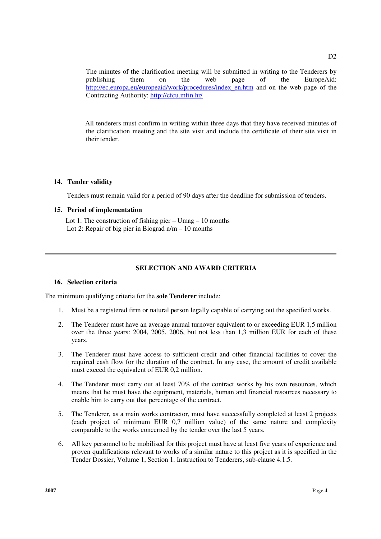The minutes of the clarification meeting will be submitted in writing to the Tenderers by publishing them on the web page of the EuropeAid: http://ec.europa.eu/europeaid/work/procedures/index\_en.htm and on the web page of the Contracting Authority: http://cfcu.mfin.hr/

 All tenderers must confirm in writing within three days that they have received minutes of the clarification meeting and the site visit and include the certificate of their site visit in their tender.

## **14. Tender validity**

Tenders must remain valid for a period of 90 days after the deadline for submission of tenders.

## **15. Period of implementation**

Lot 1: The construction of fishing pier  $-$  Umag  $-$  10 months Lot 2: Repair of big pier in Biograd  $n/m - 10$  months

## **SELECTION AND AWARD CRITERIA**

#### **16. Selection criteria**

The minimum qualifying criteria for the **sole Tenderer** include:

- 1. Must be a registered firm or natural person legally capable of carrying out the specified works.
- 2. The Tenderer must have an average annual turnover equivalent to or exceeding EUR 1,5 million over the three years: 2004, 2005, 2006, but not less than 1,3 million EUR for each of these years.
- 3. The Tenderer must have access to sufficient credit and other financial facilities to cover the required cash flow for the duration of the contract. In any case, the amount of credit available must exceed the equivalent of EUR 0,2 million.
- 4. The Tenderer must carry out at least 70% of the contract works by his own resources, which means that he must have the equipment, materials, human and financial resources necessary to enable him to carry out that percentage of the contract.
- 5. The Tenderer, as a main works contractor, must have successfully completed at least 2 projects (each project of minimum EUR 0,7 million value) of the same nature and complexity comparable to the works concerned by the tender over the last 5 years.
- 6. All key personnel to be mobilised for this project must have at least five years of experience and proven qualifications relevant to works of a similar nature to this project as it is specified in the Tender Dossier, Volume 1, Section 1. Instruction to Tenderers, sub-clause 4.1.5.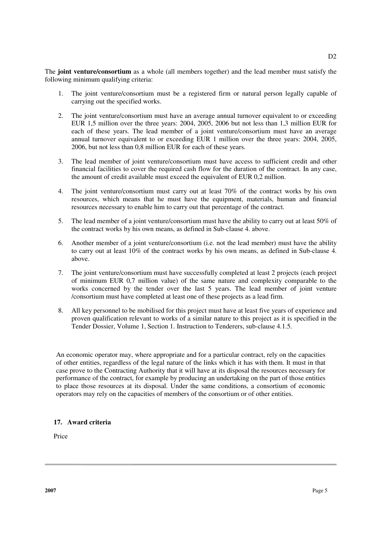The **joint venture/consortium** as a whole (all members together) and the lead member must satisfy the following minimum qualifying criteria:

- 1. The joint venture/consortium must be a registered firm or natural person legally capable of carrying out the specified works.
- 2. The joint venture/consortium must have an average annual turnover equivalent to or exceeding EUR 1,5 million over the three years: 2004, 2005, 2006 but not less than 1,3 million EUR for each of these years. The lead member of a joint venture/consortium must have an average annual turnover equivalent to or exceeding EUR 1 million over the three years: 2004, 2005, 2006, but not less than 0,8 million EUR for each of these years.
- 3. The lead member of joint venture/consortium must have access to sufficient credit and other financial facilities to cover the required cash flow for the duration of the contract. In any case, the amount of credit available must exceed the equivalent of EUR 0,2 million.
- 4. The joint venture/consortium must carry out at least 70% of the contract works by his own resources, which means that he must have the equipment, materials, human and financial resources necessary to enable him to carry out that percentage of the contract.
- 5. The lead member of a joint venture/consortium must have the ability to carry out at least 50% of the contract works by his own means, as defined in Sub-clause 4. above.
- 6. Another member of a joint venture/consortium (i.e. not the lead member) must have the ability to carry out at least 10% of the contract works by his own means, as defined in Sub-clause 4. above.
- 7. The joint venture/consortium must have successfully completed at least 2 projects (each project of minimum EUR 0,7 million value) of the same nature and complexity comparable to the works concerned by the tender over the last 5 years. The lead member of joint venture /consortium must have completed at least one of these projects as a lead firm.
- 8. All key personnel to be mobilised for this project must have at least five years of experience and proven qualification relevant to works of a similar nature to this project as it is specified in the Tender Dossier, Volume 1, Section 1. Instruction to Tenderers, sub-clause 4.1.5.

An economic operator may, where appropriate and for a particular contract, rely on the capacities of other entities, regardless of the legal nature of the links which it has with them. It must in that case prove to the Contracting Authority that it will have at its disposal the resources necessary for performance of the contract, for example by producing an undertaking on the part of those entities to place those resources at its disposal. Under the same conditions, a consortium of economic operators may rely on the capacities of members of the consortium or of other entities.

## **17. Award criteria**

Price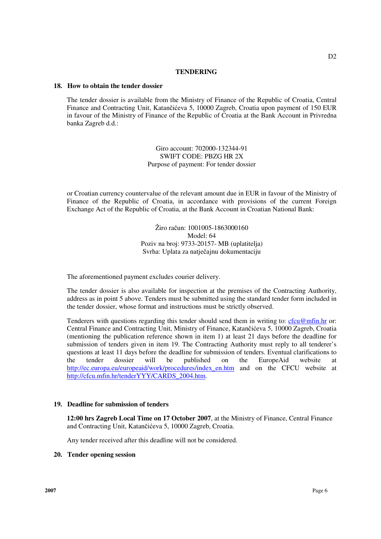#### **TENDERING**

#### **18. How to obtain the tender dossier**

The tender dossier is available from the Ministry of Finance of the Republic of Croatia, Central Finance and Contracting Unit, Katančićeva 5, 10000 Zagreb, Croatia upon payment of 150 EUR in favour of the Ministry of Finance of the Republic of Croatia at the Bank Account in Privredna banka Zagreb d.d.:

> Giro account: 702000-132344-91 SWIFT CODE: PBZG HR 2X Purpose of payment: For tender dossier

or Croatian currency countervalue of the relevant amount due in EUR in favour of the Ministry of Finance of the Republic of Croatia, in accordance with provisions of the current Foreign Exchange Act of the Republic of Croatia, at the Bank Account in Croatian National Bank:

> Žiro račun: 1001005-1863000160 Model: 64 Poziv na broj: 9733-20157- MB (uplatitelja) Svrha: Uplata za natječajnu dokumentaciju

The aforementioned payment excludes courier delivery.

The tender dossier is also available for inspection at the premises of the Contracting Authority, address as in point 5 above. Tenders must be submitted using the standard tender form included in the tender dossier, whose format and instructions must be strictly observed.

Tenderers with questions regarding this tender should send them in writing to:  $cfcu@mfin.hr$  or: Central Finance and Contracting Unit, Ministry of Finance, Katančićeva 5, 10000 Zagreb, Croatia (mentioning the publication reference shown in item 1) at least 21 days before the deadline for submission of tenders given in item 19. The Contracting Authority must reply to all tenderer's questions at least 11 days before the deadline for submission of tenders. Eventual clarifications to the tender dossier will be published on the EuropeAid website at http://ec.europa.eu/europeaid/work/procedures/index\_en.htm and on the CFCU website at http://cfcu.mfin.hr/tenderYYY/CARDS\_2004.htm.

#### **19. Deadline for submission of tenders**

**12:00 hrs Zagreb Local Time on 17 October 2007**, at the Ministry of Finance, Central Finance and Contracting Unit, Katančićeva 5, 10000 Zagreb, Croatia.

Any tender received after this deadline will not be considered.

#### **20. Tender opening session**